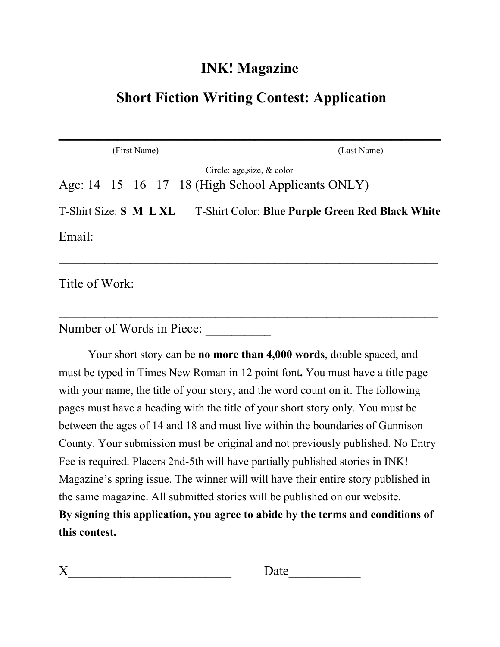#### **INK! Magazine**

### **Short Fiction Writing Contest: Application**

**\_\_\_\_\_\_\_\_\_\_\_\_\_\_\_\_\_\_\_\_\_\_\_\_\_\_\_\_\_\_\_\_\_\_\_\_\_\_\_**

|                        | (First Name) | (Last Name)                                                                        |
|------------------------|--------------|------------------------------------------------------------------------------------|
|                        |              | Circle: age, size, $\&$ color<br>Age: 14 15 16 17 18 (High School Applicants ONLY) |
| T-Shirt Size: S M L XL |              | <b>T-Shirt Color: Blue Purple Green Red Black White</b>                            |
| Email:                 |              |                                                                                    |
|                        |              |                                                                                    |

 $\mathcal{L}_\text{max}$  , and the contract of the contract of the contract of the contract of the contract of the contract of the contract of the contract of the contract of the contract of the contract of the contract of the contr

Title of Work:

Number of Words in Piece:

Your short story can be **no more than 4,000 words**, double spaced, and must be typed in Times New Roman in 12 point font**.** You must have a title page with your name, the title of your story, and the word count on it. The following pages must have a heading with the title of your short story only. You must be between the ages of 14 and 18 and must live within the boundaries of Gunnison County. Your submission must be original and not previously published. No Entry Fee is required. Placers 2nd-5th will have partially published stories in INK! Magazine's spring issue. The winner will will have their entire story published in the same magazine. All submitted stories will be published on our website. **By signing this application, you agree to abide by the terms and conditions of this contest.**

| $\mathbf{r}$<br>. . | ┻<br>uw<br>$\overline{\phantom{0}}$ |
|---------------------|-------------------------------------|
|                     |                                     |